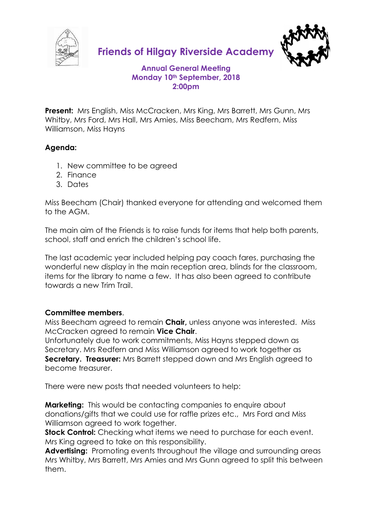

**Friends of Hilgay Riverside Academy**



# **Annual General Meeting Monday 10th September, 2018 2:00pm**

**Present:** Mrs English, Miss McCracken, Mrs King, Mrs Barrett, Mrs Gunn, Mrs Whitby, Mrs Ford, Mrs Hall, Mrs Amies, Miss Beecham, Mrs Redfern, Miss Williamson, Miss Hayns

# **Agenda:**

- 1. New committee to be agreed
- 2. Finance
- 3. Dates

Miss Beecham (Chair) thanked everyone for attending and welcomed them to the AGM.

The main aim of the Friends is to raise funds for items that help both parents, school, staff and enrich the children's school life.

The last academic year included helping pay coach fares, purchasing the wonderful new display in the main reception area, blinds for the classroom, items for the library to name a few. It has also been agreed to contribute towards a new Trim Trail.

### **Committee members**.

Miss Beecham agreed to remain **Chair,** unless anyone was interested. Miss McCracken agreed to remain **Vice Chair**.

Unfortunately due to work commitments, Miss Hayns stepped down as Secretary. Mrs Redfern and Miss Williamson agreed to work together as **Secretary. Treasurer:** Mrs Barrett stepped down and Mrs English agreed to become treasurer.

There were new posts that needed volunteers to help:

**Marketing:** This would be contacting companies to enquire about donations/gifts that we could use for raffle prizes etc., Mrs Ford and Miss Williamson agreed to work together.

**Stock Control:** Checking what items we need to purchase for each event. Mrs King agreed to take on this responsibility.

**Advertising:** Promoting events throughout the village and surrounding areas Mrs Whitby, Mrs Barrett, Mrs Amies and Mrs Gunn agreed to split this between them.